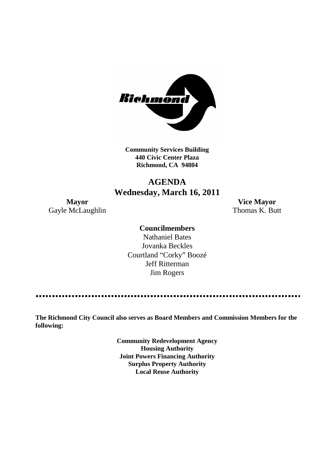

**Community Services Building 440 Civic Center Plaza Richmond, CA 94804**

## **AGENDA Wednesday, March 16, 2011**

Gayle McLaughlin Thomas K. Butt

**Mayor Vice Mayor**

#### **Councilmembers**

Nathaniel Bates Jovanka Beckles Courtland "Corky" Boozé Jeff Ritterman Jim Rogers

**The Richmond City Council also serves as Board Members and Commission Members for the following:**

> **Community Redevelopment Agency Housing Authority Joint Powers Financing Authority Surplus Property Authority Local Reuse Authority**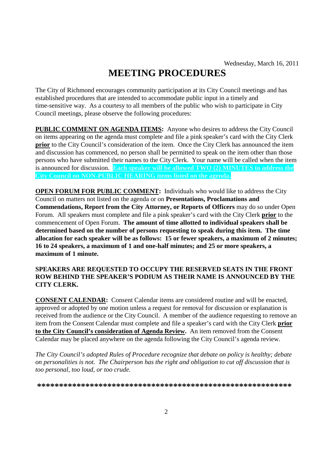# **MEETING PROCEDURES**

The City of Richmond encourages community participation at its City Council meetings and has established procedures that are intended to accommodate public input in a timely and time-sensitive way. As a courtesy to all members of the public who wish to participate in City Council meetings, please observe the following procedures:

**PUBLIC COMMENT ON AGENDA ITEMS:** Anyone who desires to address the City Council on items appearing on the agenda must complete and file a pink speaker's card with the City Clerk **prior** to the City Council's consideration of the item. Once the City Clerk has announced the item and discussion has commenced, no person shall be permitted to speak on the item other than those persons who have submitted their names to the City Clerk. Your name will be called when the item is announced for discussion. **Each speaker will be allowed TWO (2) MINUTES to address the City Council on NON-PUBLIC HEARING items listed on the agenda.**

**OPEN FORUM FOR PUBLIC COMMENT:** Individuals who would like to address the City Council on matters not listed on the agenda or on **Presentations, Proclamations and Commendations, Report from the City Attorney, or Reports of Officers** may do so under Open Forum. All speakers must complete and file a pink speaker's card with the City Clerk **prior** to the commencement of Open Forum. **The amount of time allotted to individual speakers shall be determined based on the number of persons requesting to speak during this item. The time allocation for each speaker will be as follows: 15 or fewer speakers, a maximum of 2 minutes; 16 to 24 speakers, a maximum of 1 and one-half minutes; and 25 or more speakers, a maximum of 1 minute.**

#### **SPEAKERS ARE REQUESTED TO OCCUPY THE RESERVED SEATS IN THE FRONT ROW BEHIND THE SPEAKER'S PODIUM AS THEIR NAME IS ANNOUNCED BY THE CITY CLERK.**

**CONSENT CALENDAR:** Consent Calendar items are considered routine and will be enacted, approved or adopted by one motion unless a request for removal for discussion or explanation is received from the audience or the City Council. A member of the audience requesting to remove an item from the Consent Calendar must complete and file a speaker's card with the City Clerk **prior to the City Council's consideration of Agenda Review.** An item removed from the Consent Calendar may be placed anywhere on the agenda following the City Council's agenda review.

*The City Council's adopted Rules of Procedure recognize that debate on policy is healthy; debate on personalities is not. The Chairperson has the right and obligation to cut off discussion that is too personal, too loud, or too crude.*

**\*\*\*\*\*\*\*\*\*\*\*\*\*\*\*\*\*\*\*\*\*\*\*\*\*\*\*\*\*\*\*\*\*\*\*\*\*\*\*\*\*\*\*\*\*\*\*\*\*\*\*\*\*\*\*\*\*\***